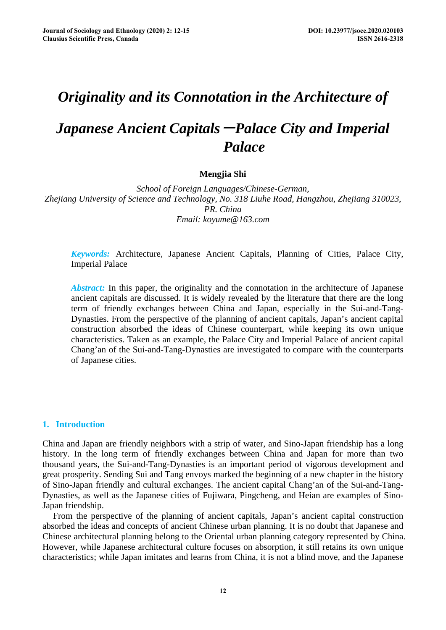## *Originality and its Connotation in the Architecture of*

# *Japanese Ancient Capitals*-*Palace City and Imperial Palace*

## **Mengjia Shi**

*School of Foreign Languages/Chinese-German, Zhejiang University of Science and Technology, No. 318 Liuhe Road, Hangzhou, Zhejiang 310023, PR. China Email: koyume@163.com* 

*Keywords:* Architecture, Japanese Ancient Capitals, Planning of Cities, Palace City, Imperial Palace

*Abstract:* In this paper, the originality and the connotation in the architecture of Japanese ancient capitals are discussed. It is widely revealed by the literature that there are the long term of friendly exchanges between China and Japan, especially in the Sui-and-Tang-Dynasties. From the perspective of the planning of ancient capitals, Japan's ancient capital construction absorbed the ideas of Chinese counterpart, while keeping its own unique characteristics. Taken as an example, the Palace City and Imperial Palace of ancient capital Chang'an of the Sui-and-Tang-Dynasties are investigated to compare with the counterparts of Japanese cities.

## **1. Introduction**

China and Japan are friendly neighbors with a strip of water, and Sino-Japan friendship has a long history. In the long term of friendly exchanges between China and Japan for more than two thousand years, the Sui-and-Tang-Dynasties is an important period of vigorous development and great prosperity. Sending Sui and Tang envoys marked the beginning of a new chapter in the history of Sino-Japan friendly and cultural exchanges. The ancient capital Chang'an of the Sui-and-Tang-Dynasties, as well as the Japanese cities of Fujiwara, Pingcheng, and Heian are examples of Sino-Japan friendship.

From the perspective of the planning of ancient capitals, Japan's ancient capital construction absorbed the ideas and concepts of ancient Chinese urban planning. It is no doubt that Japanese and Chinese architectural planning belong to the Oriental urban planning category represented by China. However, while Japanese architectural culture focuses on absorption, it still retains its own unique characteristics; while Japan imitates and learns from China, it is not a blind move, and the Japanese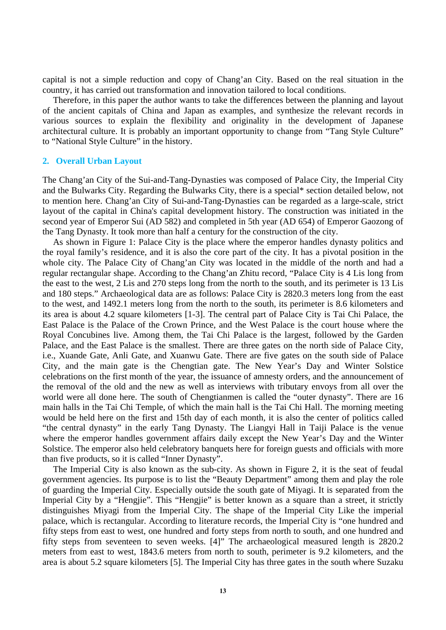capital is not a simple reduction and copy of Chang'an City. Based on the real situation in the country, it has carried out transformation and innovation tailored to local conditions.

Therefore, in this paper the author wants to take the differences between the planning and layout of the ancient capitals of China and Japan as examples, and synthesize the relevant records in various sources to explain the flexibility and originality in the development of Japanese architectural culture. It is probably an important opportunity to change from "Tang Style Culture" to "National Style Culture" in the history.

#### **2. Overall Urban Layout**

The Chang'an City of the Sui-and-Tang-Dynasties was composed of Palace City, the Imperial City and the Bulwarks City. Regarding the Bulwarks City, there is a special\* section detailed below, not to mention here. Chang'an City of Sui-and-Tang-Dynasties can be regarded as a large-scale, strict layout of the capital in China's capital development history. The construction was initiated in the second year of Emperor Sui (AD 582) and completed in 5th year (AD 654) of Emperor Gaozong of the Tang Dynasty. It took more than half a century for the construction of the city.

As shown in Figure 1: Palace City is the place where the emperor handles dynasty politics and the royal family's residence, and it is also the core part of the city. It has a pivotal position in the whole city. The Palace City of Chang'an City was located in the middle of the north and had a regular rectangular shape. According to the Chang'an Zhitu record, "Palace City is 4 Lis long from the east to the west, 2 Lis and 270 steps long from the north to the south, and its perimeter is 13 Lis and 180 steps." Archaeological data are as follows: Palace City is 2820.3 meters long from the east to the west, and 1492.1 meters long from the north to the south, its perimeter is 8.6 kilometers and its area is about 4.2 square kilometers [1-3]. The central part of Palace City is Tai Chi Palace, the East Palace is the Palace of the Crown Prince, and the West Palace is the court house where the Royal Concubines live. Among them, the Tai Chi Palace is the largest, followed by the Garden Palace, and the East Palace is the smallest. There are three gates on the north side of Palace City, i.e., Xuande Gate, Anli Gate, and Xuanwu Gate. There are five gates on the south side of Palace City, and the main gate is the Chengtian gate. The New Year's Day and Winter Solstice celebrations on the first month of the year, the issuance of amnesty orders, and the announcement of the removal of the old and the new as well as interviews with tributary envoys from all over the world were all done here. The south of Chengtianmen is called the "outer dynasty". There are 16 main halls in the Tai Chi Temple, of which the main hall is the Tai Chi Hall. The morning meeting would be held here on the first and 15th day of each month, it is also the center of politics called "the central dynasty" in the early Tang Dynasty. The Liangyi Hall in Taiji Palace is the venue where the emperor handles government affairs daily except the New Year's Day and the Winter Solstice. The emperor also held celebratory banquets here for foreign guests and officials with more than five products, so it is called "Inner Dynasty".

The Imperial City is also known as the sub-city. As shown in Figure 2, it is the seat of feudal government agencies. Its purpose is to list the "Beauty Department" among them and play the role of guarding the Imperial City. Especially outside the south gate of Miyagi. It is separated from the Imperial City by a "Hengjie". This "Hengjie" is better known as a square than a street, it strictly distinguishes Miyagi from the Imperial City. The shape of the Imperial City Like the imperial palace, which is rectangular. According to literature records, the Imperial City is "one hundred and fifty steps from east to west, one hundred and forty steps from north to south, and one hundred and fifty steps from seventeen to seven weeks. [4]" The archaeological measured length is 2820.2 meters from east to west, 1843.6 meters from north to south, perimeter is 9.2 kilometers, and the area is about 5.2 square kilometers [5]. The Imperial City has three gates in the south where Suzaku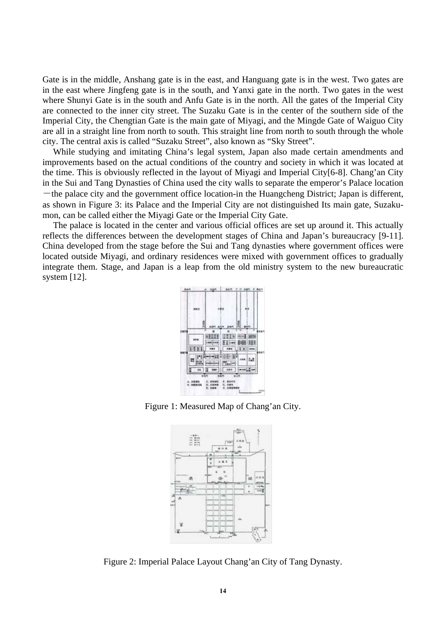Gate is in the middle, Anshang gate is in the east, and Hanguang gate is in the west. Two gates are in the east where Jingfeng gate is in the south, and Yanxi gate in the north. Two gates in the west where Shunyi Gate is in the south and Anfu Gate is in the north. All the gates of the Imperial City are connected to the inner city street. The Suzaku Gate is in the center of the southern side of the Imperial City, the Chengtian Gate is the main gate of Miyagi, and the Mingde Gate of Waiguo City are all in a straight line from north to south. This straight line from north to south through the whole city. The central axis is called "Suzaku Street", also known as "Sky Street".

While studying and imitating China's legal system, Japan also made certain amendments and improvements based on the actual conditions of the country and society in which it was located at the time. This is obviously reflected in the layout of Miyagi and Imperial City[6-8]. Chang'an City in the Sui and Tang Dynasties of China used the city walls to separate the emperor's Palace location  $-$ the palace city and the government office location-in the Huangcheng District; Japan is different, as shown in Figure 3: its Palace and the Imperial City are not distinguished Its main gate, Suzakumon, can be called either the Miyagi Gate or the Imperial City Gate.

The palace is located in the center and various official offices are set up around it. This actually reflects the differences between the development stages of China and Japan's bureaucracy [9-11]. China developed from the stage before the Sui and Tang dynasties where government offices were located outside Miyagi, and ordinary residences were mixed with government offices to gradually integrate them. Stage, and Japan is a leap from the old ministry system to the new bureaucratic system [12].



Figure 1: Measured Map of Chang'an City.



Figure 2: Imperial Palace Layout Chang'an City of Tang Dynasty.